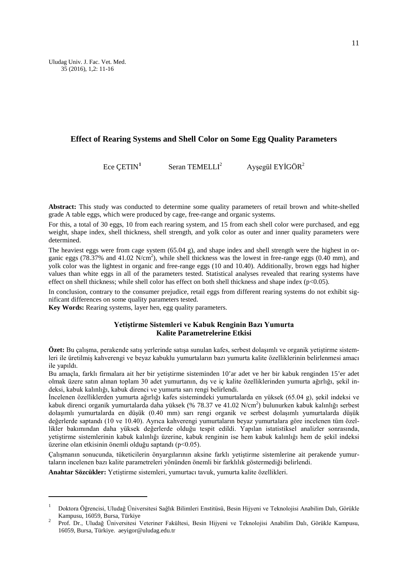Uludag Univ. J. Fac. Vet. Med. 35 (2016), 1,2: 11-16

# **Effect of Rearing Systems and Shell Color on Some Egg Quality Parameters**

Ece CETIN<sup>[1](#page-0-0)</sup> Seran TEMELLI<sup>2</sup> Aysegül EYİGÖR<sup>2</sup>

**Abstract:** This study was conducted to determine some quality parameters of retail brown and white-shelled grade A table eggs, which were produced by cage, free-range and organic systems.

For this, a total of 30 eggs, 10 from each rearing system, and 15 from each shell color were purchased, and egg weight, shape index, shell thickness, shell strength, and yolk color as outer and inner quality parameters were determined.

The heaviest eggs were from cage system (65.04 g), and shape index and shell strength were the highest in organic eggs (78.37% and 41.02  $N/cm<sup>2</sup>$ ), while shell thickness was the lowest in free-range eggs (0.40 mm), and yolk color was the lightest in organic and free-range eggs (10 and 10.40). Additionally, brown eggs had higher values than white eggs in all of the parameters tested. Statistical analyses revealed that rearing systems have effect on shell thickness; while shell color has effect on both shell thickness and shape index (p<0.05).

In conclusion, contrary to the consumer prejudice, retail eggs from different rearing systems do not exhibit significant differences on some quality parameters tested.

**Key Words:** Rearing systems, layer hen, egg quality parameters.

#### **Yetiştirme Sistemleri ve Kabuk Renginin Bazı Yumurta Kalite Parametrelerine Etkisi**

**Özet:** Bu çalışma, perakende satış yerlerinde satışa sunulan kafes, serbest dolaşımlı ve organik yetiştirme sistemleri ile üretilmiş kahverengi ve beyaz kabuklu yumurtaların bazı yumurta kalite özelliklerinin belirlenmesi amacı ile yapıldı.

Bu amaçla, farklı firmalara ait her bir yetiştirme sisteminden 10'ar adet ve her bir kabuk renginden 15'er adet olmak üzere satın alınan toplam 30 adet yumurtanın, dış ve iç kalite özelliklerinden yumurta ağırlığı, şekil indeksi, kabuk kalınlığı, kabuk direnci ve yumurta sarı rengi belirlendi.

İncelenen özelliklerden yumurta ağırlığı kafes sistemindeki yumurtalarda en yüksek (65.04 g), şekil indeksi ve kabuk direnci organik yumurtalarda daha yüksek (% 78.37 ve 41.02 N/cm<sup>2</sup>) bulunurken kabuk kalınlığı serbest dolaşımlı yumurtalarda en düşük (0.40 mm) sarı rengi organik ve serbest dolaşımlı yumurtalarda düşük değerlerde saptandı (10 ve 10.40). Ayrıca kahverengi yumurtaların beyaz yumurtalara göre incelenen tüm özellikler bakımından daha yüksek değerlerde olduğu tespit edildi. Yapılan istatistiksel analizler sonrasında, yetiştirme sistemlerinin kabuk kalınlığı üzerine, kabuk renginin ise hem kabuk kalınlığı hem de şekil indeksi üzerine olan etkisinin önemli olduğu saptandı (p<0.05).

Çalışmanın sonucunda, tüketicilerin önyargılarının aksine farklı yetiştirme sistemlerine ait perakende yumurtaların incelenen bazı kalite parametreleri yönünden önemli bir farklılık göstermediği belirlendi.

**Anahtar Sözcükler:** Yetiştirme sistemleri, yumurtacı tavuk, yumurta kalite özellikleri.

<u>.</u>

<span id="page-0-0"></span>Doktora Öğrencisi, Uludağ Üniversitesi Sağlık Bilimleri Enstitüsü, Besin Hijyeni ve Teknolojisi Anabilim Dalı, Görükle<br>Kampusu, 16059, Bursa, Türkiye

Prof. Dr., Uludağ Üniversitesi Veteriner Fakültesi, Besin Hijyeni ve Teknolojisi Anabilim Dalı, Görükle Kampusu, 16059, Bursa, Türkiye. aeyigor@uludag.edu.tr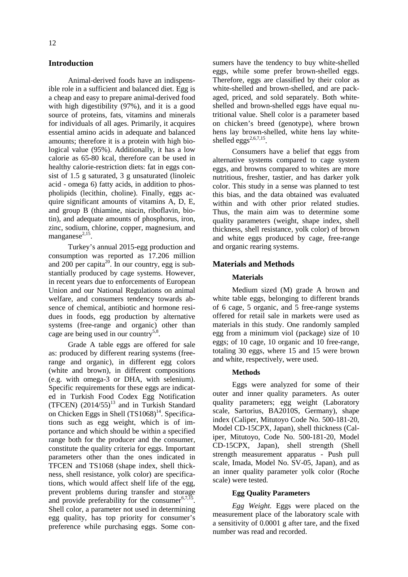# **Introduction**

Animal-derived foods have an indispensible role in a sufficient and balanced diet. Egg is a cheap and easy to prepare animal-derived food with high digestibility (97%), and it is a good source of proteins, fats, vitamins and minerals for individuals of all ages. Primarily, it acquires essential amino acids in adequate and balanced amounts; therefore it is a protein with high biological value (95%). Additionally, it has a low calorie as 65-80 kcal, therefore can be used in healthy calorie-restriction diets: fat in eggs consist of 1.5 g saturated, 3 g unsaturated (linoleic acid - omega 6) fatty acids, in addition to phospholipids (lecithin, choline). Finally, eggs acquire significant amounts of vitamins A, D, E, and group B (thiamine, niacin, riboflavin, biotin), and adequate amounts of phosphorus, iron, zinc, sodium, chlorine, copper, magnesium, and manganese $^{2,15}$ .

Turkey's annual 2015-egg production and consumption was reported as 17.206 million and  $200$  per capita<sup>20</sup>. In our country, egg is substantially produced by cage systems. However, in recent years due to enforcements of European Union and our National Regulations on animal welfare, and consumers tendency towards absence of chemical, antibiotic and hormone residues in foods, egg production by alternative systems (free-range and organic) other than cage are being used in our country<sup>5,8</sup>.

Grade A table eggs are offered for sale as: produced by different rearing systems (freerange and organic), in different egg colors (white and brown), in different compositions (e.g. with omega-3 or DHA, with selenium). Specific requirements for these eggs are indicated in Turkish Food Codex Egg Notification (TFCEN)  $(2014/55)^{13}$  and in Turkish Standard on Chicken Eggs in Shell  $(TS1068)^{14}$ . Specifications such as egg weight, which is of importance and which should be within a specified range both for the producer and the consumer, constitute the quality criteria for eggs. Important parameters other than the ones indicated in TFCEN and TS1068 (shape index, shell thickness, shell resistance, yolk color) are specifications, which would affect shelf life of the egg, prevent problems during transfer and storage and provide preferability for the consumer $6,7,\overline{15}$ . Shell color, a parameter not used in determining egg quality, has top priority for consumer's preference while purchasing eggs. Some consumers have the tendency to buy white-shelled eggs, while some prefer brown-shelled eggs. Therefore, eggs are classified by their color as white-shelled and brown-shelled, and are packaged, priced, and sold separately. Both whiteshelled and brown-shelled eggs have equal nutritional value. Shell color is a parameter based on chicken's breed (genotype), where brown hens lay brown-shelled, white hens lay whiteshelled  $e\rho g s^{2,6,7,15}$ .

Consumers have a belief that eggs from alternative systems compared to cage system eggs, and browns compared to whites are more nutritious, fresher, tastier, and has darker yolk color. This study in a sense was planned to test this bias, and the data obtained was evaluated within and with other prior related studies. Thus, the main aim was to determine some quality parameters (weight, shape index, shell thickness, shell resistance, yolk color) of brown and white eggs produced by cage, free-range and organic rearing systems.

### **Materials and Methods**

### **Materials**

Medium sized (M) grade A brown and white table eggs, belonging to different brands of 6 cage, 5 organic, and 5 free-range systems offered for retail sale in markets were used as materials in this study. One randomly sampled egg from a minimum viol (package) size of 10 eggs; of 10 cage, 10 organic and 10 free-range, totaling 30 eggs, where 15 and 15 were brown and white, respectively, were used.

#### **Methods**

Eggs were analyzed for some of their outer and inner quality parameters. As outer quality parameters; egg weight (Laboratory scale, Sartorius, BA2010S, Germany), shape index (Caliper, Mitutoyo Code No. 500-181-20, Model CD-15CPX, Japan), shell thickness (Caliper, Mitutoyo, Code No. 500-181-20, Model CD-15CPX, Japan), shell strength (Shell strength measurement apparatus - Push pull scale, Imada, Model No. SV-05, Japan), and as an inner quality parameter yolk color (Roche scale) were tested.

# **Egg Quality Parameters**

*Egg Weight.* Eggs were placed on the measurement place of the laboratory scale with a sensitivity of 0.0001 g after tare, and the fixed number was read and recorded.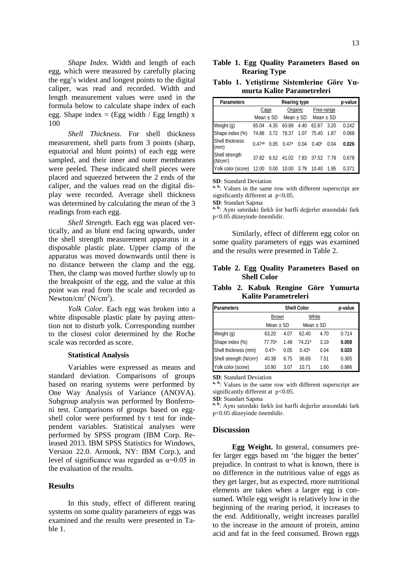*Shape Index.* Width and length of each egg, which were measured by carefully placing the egg's widest and longest points to the digital caliper, was read and recorded. Width and length measurement values were used in the formula below to calculate shape index of each egg. Shape index = (Egg width / Egg length)  $x$ 100

*Shell Thickness.* For shell thickness measurement, shell parts from 3 points (sharp, equatorial and blunt points) of each egg were sampled, and their inner and outer membranes were peeled. These indicated shell pieces were placed and squeezed between the 2 ends of the caliper, and the values read on the digital display were recorded. Average shell thickness was determined by calculating the mean of the 3 readings from each egg.

*Shell Strength.* Each egg was placed vertically, and as blunt end facing upwards, under the shell strength measurement apparatus in a disposable plastic plate. Upper clamp of the apparatus was moved downwards until there is no distance between the clamp and the egg. Then, the clamp was moved further slowly up to the breakpoint of the egg, and the value at this point was read from the scale and recorded as Newton/cm<sup>2</sup> (N/cm<sup>2</sup>).

*Yolk Color.* Each egg was broken into a white disposable plastic plate by paying attention not to disturb yolk. Corresponding number to the closest color determined by the Roche scale was recorded as score.

#### **Statistical Analysis**

Variables were expressed as means and standard deviation. Comparisons of groups based on rearing systems were performed by One Way Analysis of Variance (ANOVA). Subgroup analysis was performed by Bonferroni test. Comparisons of groups based on eggshell color were performed by t test for independent variables. Statistical analyses were performed by SPSS program (IBM Corp. Released 2013. IBM SPSS Statistics for Windows, Version 22.0. Armonk, NY: IBM Corp.), and level of significance was regarded as  $\alpha$ =0.05 in the evaluation of the results.

# **Results**

In this study, effect of different rearing systems on some quality parameters of eggs was examined and the results were presented in Table 1.

# **Table 1. Egg Quality Parameters Based on Rearing Type**

### **Tablo 1. Yetiştirme Sistemlerine Göre Yumurta Kalite Parametreleri**

| Parameters                             |             | p-value |                            |      |                   |      |       |
|----------------------------------------|-------------|---------|----------------------------|------|-------------------|------|-------|
|                                        | Cage        |         | Organic                    |      | Free-range        |      |       |
|                                        | Mean $+$ SD |         | Mean $\pm$ SD              |      | $Mean + SD$       |      |       |
| Weight (g)                             | 65.04       | 4.35    | 60.88                      | 4.40 | 62.67             | 3.20 | 0.242 |
| Shape index (%)                        | 74.88       |         | 3.72 78.37                 | 1.07 | 75.40             | 1.87 | 0.068 |
| Shell thickness<br>(mm)                | 0.47ab      | 0.05    | 0.47a                      | 0.04 | 0.40 <sup>b</sup> | 0.04 | 0.026 |
| Shell strength<br>(N/cm <sup>2</sup> ) | 37.82       |         | 6.52 41.02 7.83 37.52 7.78 |      |                   |      | 0.678 |
| Yolk color (score) 12.00               |             | 0.00    | 10.00                      | 3.79 | 10.40             | 1.95 | 0.371 |

**SD**: Standard Deviation

a, b<sub>:</sub> Values in the same row with different superscript are significantly different at p<0.05.

**SD**: Standart Sapma

**a, b**: Aynı satırdaki farklı üst harfli değerler arasındaki fark p<0.05 düzeyinde önemlidir.

Similarly, effect of different egg color on some quality parameters of eggs was examined and the results were presented in Table 2.

# **Table 2. Egg Quality Parameters Based on Shell Color**

**Tablo 2. Kabuk Rengine Göre Yumurta Kalite Parametreleri**

| Parameters                          |               | p-value |                   |      |       |
|-------------------------------------|---------------|---------|-------------------|------|-------|
|                                     | <b>Brown</b>  |         | White             |      |       |
|                                     | Mean $\pm$ SD |         | Mean $\pm$ SD     |      |       |
| Weight (g)                          | 63.20         | 4.07    | 62.40             | 4.70 | 0.714 |
| Shape index (%)                     | 77.70a        | 1.48    | 74.21b            | 3.19 | 0.008 |
| Shell thickness (mm)                | 0.47a         | 0.05    | 0.42 <sub>b</sub> | 0.04 | 0.020 |
| Shell strength (N/cm <sup>2</sup> ) | 40.38         | 6.75    | 36.69             | 7.51 | 0.305 |
| Yolk color (score)                  | 10.90         | 3.07    | 10.71             | 1.60 | 0.886 |

**SD**: Standard Deviation

a, b. Values in the same row with different superscript are significantly different at p<0.05.

**SD**: Standart Sapma

**a, b**: Aynı satırdaki farklı üst harfli değerler arasındaki fark p<0.05 düzeyinde önemlidir.

#### **Discussion**

**Egg Weight.** In general, consumers prefer larger eggs based on 'the bigger the better' prejudice. In contrast to what is known, there is no difference in the nutritious value of eggs as they get larger, but as expected, more nutritional elements are taken when a larger egg is consumed. While egg weight is relatively low in the beginning of the rearing period, it increases to the end. Additionally, weight increases parallel to the increase in the amount of protein, amino acid and fat in the feed consumed. Brown eggs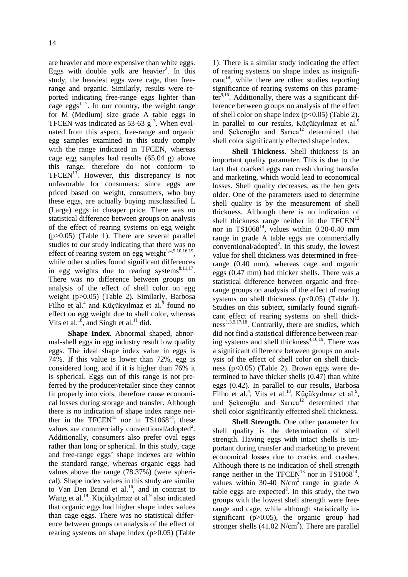are heavier and more expensive than white eggs. Eggs with double yolk are heavier<sup>2</sup>. In this study, the heaviest eggs were cage, then freerange and organic. Similarly, results were reported indicating free-range eggs lighter than cage eggs<sup>1,17</sup>. In our country, the weight range for M (Medium) size grade A table eggs in TFCEN was indicated as 53-63  $g<sup>13</sup>$ . When evaluated from this aspect, free-range and organic egg samples examined in this study comply with the range indicated in TFCEN, whereas cage egg samples had results (65.04 g) above this range, therefore do not conform to  $TFCEN<sup>13</sup>$ . However, this discrepancy is not unfavorable for consumers: since eggs are priced based on weight, consumers, who buy these eggs, are actually buying misclassified L (Large) eggs in cheaper price. There was no statistical difference between groups on analysis of the effect of rearing systems on egg weight (p>0.05) (Table 1). There are several parallel studies to our study indicating that there was no effect of rearing system on egg weight $1,4,9,10,16,19$ . while other studies found significant differences in egg weights due to rearing systems $8,11,17$ . There was no difference between groups on analysis of the effect of shell color on egg weight (p>0.05) (Table 2). Similarly, Barbosa Filho et al.<sup>4</sup> and Küçükyılmaz et al.<sup>9</sup> found no effect on egg weight due to shell color, whereas Vits et al.<sup>18</sup>, and Singh et al.<sup>11</sup> did.

**Shape Index.** Abnormal shaped, abnormal-shell eggs in egg industry result low quality eggs. The ideal shape index value in eggs is 74%. If this value is lower than 72%, egg is considered long, and if it is higher than 76% it is spherical. Eggs out of this range is not preferred by the producer/retailer since they cannot fit properly into viols, therefore cause economical losses during storage and transfer. Although there is no indication of shape index range neither in the TFCEN<sup>13</sup> nor in TS1068<sup>14</sup>, these values are commercially conventional/adopted<sup>2</sup>. Additionally, consumers also prefer oval eggs rather than long or spherical. In this study, cage and free-range eggs' shape indexes are within the standard range, whereas organic eggs had values above the range (78.37%) (were spherical). Shape index values in this study are similar to Van Den Brand et al. $^{16}$ , and in contrast to Wang et al.<sup>19</sup>. Küçükyılmaz et al.<sup>9</sup> also indicated that organic eggs had higher shape index values than cage eggs. There was no statistical difference between groups on analysis of the effect of rearing systems on shape index (p>0.05) (Table

1). There is a similar study indicating the effect of rearing systems on shape index as insignifi $cant<sup>19</sup>$ , while there are other studies reporting significance of rearing systems on this parameter $9,16$ . Additionally, there was a significant difference between groups on analysis of the effect of shell color on shape index  $(p<0.05)$  (Table 2). In parallel to our results, Küçükyılmaz et al.<sup>9</sup> and Şekeroğlu and Sarıca $12$  determined that shell color significantly effected shape index.

**Shell Thickness.** Shell thickness is an important quality parameter. This is due to the fact that cracked eggs can crash during transfer and marketing, which would lead to economical losses. Shell quality decreases, as the hen gets older. One of the parameters used to determine shell quality is by the measurement of shell thickness. Although there is no indication of shell thickness range neither in the  $TFCEN<sup>13</sup>$ nor in  $TS1068^{14}$ , values within 0.20-0.40 mm range in grade A table eggs are commercially  $conventional/adopted<sup>2</sup>$ . In this study, the lowest value for shell thickness was determined in freerange (0.40 mm), whereas cage and organic eggs (0.47 mm) had thicker shells. There was a statistical difference between organic and freerange groups on analysis of the effect of rearing systems on shell thickness  $(p<0.05)$  (Table 1). Studies on this subject, similarly found significant effect of rearing systems on shell thick $ness<sup>1,3,9,17,18</sup>$ . Contrarily, there are studies, which did not find a statistical difference between rearing systems and shell thickness<sup> $4,16,19$ </sup>. There was a significant difference between groups on analysis of the effect of shell color on shell thickness (p<0.05) (Table 2). Brown eggs were determined to have thicker shells (0.47) than white eggs (0.42). In parallel to our results, Barbosa Filho et al.<sup>4</sup>, Vits et al.<sup>18</sup>, Küçükyılmaz et al.<sup>9</sup>, and Sekeroğlu and Sarıca $12$  determined that shell color significantly effected shell thickness.

**Shell Strength.** One other parameter for shell quality is the determination of shell strength. Having eggs with intact shells is important during transfer and marketing to prevent economical losses due to cracks and crashes. Although there is no indication of shell strength range neither in the TFCEN<sup>13</sup> nor in TS1068<sup>14</sup>, values within 30-40  $N/cm<sup>2</sup>$  range in grade A table eggs are expected<sup>2</sup>. In this study, the two groups with the lowest shell strength were freerange and cage, while although statistically insignificant ( $p>0.05$ ), the organic group had stronger shells  $(41.02 \text{ N/cm}^2)$ . There are parallel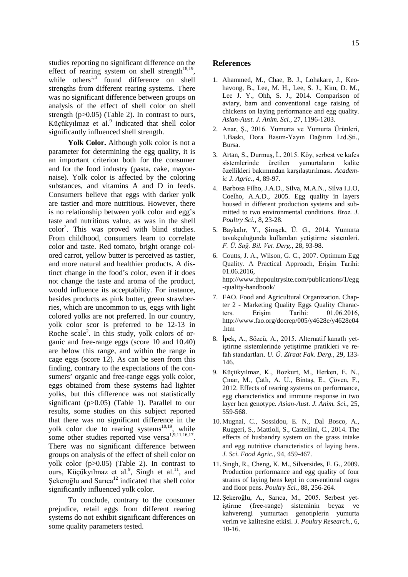studies reporting no significant difference on the effect of rearing system on shell strength<sup>18,19</sup>, while others<sup>1,3</sup> found difference on shell strengths from different rearing systems. There was no significant difference between groups on analysis of the effect of shell color on shell strength (p>0.05) (Table 2). In contrast to ours, Küçükyılmaz et al.<sup>9</sup> indicated that shell color significantly influenced shell strength.

Yolk Color. Although yolk color is not a parameter for determining the egg quality, it is an important criterion both for the consumer and for the food industry (pasta, cake, mayonnaise). Yolk color is affected by the coloring substances, and vitamins A and D in feeds. Consumers believe that eggs with darker yolk are tastier and more nutritious. However, there is no relationship between yolk color and egg's taste and nutritious value, as was in the shell color<sup>2</sup> . This was proved with blind studies. From childhood, consumers learn to correlate color and taste. Red tomato, bright orange colored carrot, yellow butter is perceived as tastier, and more natural and healthier products. A distinct change in the food's color, even if it does not change the taste and aroma of the product, would influence its acceptability. For instance, besides products as pink butter, green strawberries, which are uncommon to us, eggs with light colored yolks are not preferred. In our country, yolk color scor is preferred to be 12-13 in Roche scale<sup>2</sup>. In this study, yolk colors of organic and free-range eggs (score 10 and 10.40) are below this range, and within the range in cage eggs (score 12). As can be seen from this finding, contrary to the expectations of the consumers' organic and free-range eggs yolk color, eggs obtained from these systems had lighter yolks, but this difference was not statistically significant (p>0.05) (Table 1). Parallel to our results, some studies on this subject reported that there was no significant difference in the yolk color due to rearing systems<sup>10,19</sup>, while some other studies reported vise versa<sup>1,9,11,16,17</sup>. There was no significant difference between groups on analysis of the effect of shell color on yolk color (p>0.05) (Table 2). In contrast to ours, Küçükyılmaz et al.<sup>9</sup>, Singh et al.<sup>11</sup>, and  $\frac{1}{2}$  Sekeroğlu and Sarıca<sup>12</sup> indicated that shell color significantly influenced yolk color.

To conclude, contrary to the consumer prejudice, retail eggs from different rearing systems do not exhibit significant differences on some quality parameters tested.

### **References**

- 1. Ahammed, M., Chae, B. J., Lohakare, J., Keohavong, B., Lee, M. H., Lee, S. J., Kim, D. M., Lee J. Y., Ohh, S. J., 2014. Comparison of aviary, barn and conventional cage raising of chickens on laying performance and egg quality. *Asian-Aust. J. Anim. Sci.*, 27, 1196-1203.
- 2. Anar, Ş., 2016. Yumurta ve Yumurta Ürünleri, 1.Baskı, Dora Basım-Yayın Dağıtım Ltd.Şti., Bursa.
- 3. Artan, S., Durmuş, İ., 2015. Köy, serbest ve kafes sistemlerinde üretilen yumurtaların kalite özellikleri bakımından karşılaştırılması. *Academic J. Agric.*, 4, 89-97.
- 4. Barbosa Filho, J.A.D., Silva, M.A.N., Silva I.J.O, Coelho, A.A.D., 2005. Egg quality in layers housed in different production systems and submitted to two environmental conditions. *Braz. J. Poultry Sci.*, 8, 23-28.
- 5. Baykalır, Y., Şimşek, Ü. G., 2014. Yumurta tavukçuluğunda kullanılan yetiştirme sistemleri. *F. Ü. Sağ. Bil. Vet. Derg.*, 28, 93-98.
- 6. Coutts, J. A., Wilson, G. C., 2007. Optimum Egg Quality. A Practical Approach, Erişim Tarihi: 01.06.2016, http://www.thepoultrysite.com/publications/1/egg -quality-handbook/
- 7. FAO. Food and Agricultural Organization. Chapter 2 - Marketing Quality Eggs Quality Characters. Erişim Tarihi: 01.06.2016, http://www.fao.org/docrep/005/y4628e/y4628e04 .htm
- 8. İpek, A., Sözcü, A., 2015. Alternatif kanatlı yetiştirme sistemlerinde yetiştirme pratikleri ve refah standartları. *U. Ü. Ziraat Fak. Derg.*, 29, 133- 146.
- 9. Küçükyılmaz, K., Bozkurt, M., Herken, E. N., Çınar, M., Çatlı, A. U., Bintaş, E., Çöven, F., 2012. Effects of rearing systems on performance, egg characteristics and immune response in two layer hen genotype. *Asian-Aust. J. Anim. Sci.*, 25, 559-568.
- 10. Mugnai, C., Sossidou, E. N., Dal Bosco, A., Ruggeri, S., Mattioli, S., Castellini, C., 2014. The effects of husbandry system on the grass intake and egg nutritive characteristics of laying hens. *J. Sci. Food Agric.*, 94, 459-467.
- 11. Singh, R., Cheng, K. M., Silversides, F. G., 2009. Production performance and egg quality of four strains of laying hens kept in conventional cages and floor pens. *Poultry Sci.*, 88, 256-264.
- 12. Şekeroğlu, A., Sarıca, M., 2005. Serbest yetiştirme (free-range) sisteminin beyaz ve kahverengi yumurtacı genotiplerin yumurta verim ve kalitesine etkisi. *J. Poultry Research.*, 6, 10-16.